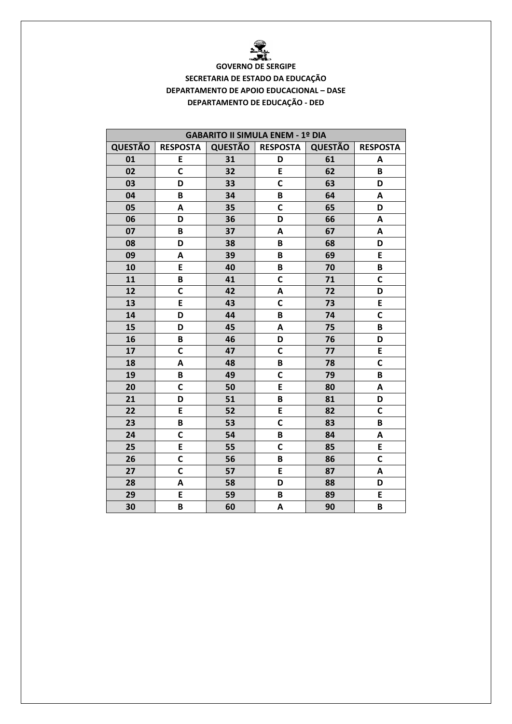

## **GOVERNO DE SERGIPE** SECRETARIA DE ESTADO DA EDUCAÇÃO **DEPARTAMENTO DE APOIO EDUCACIONAL - DASE** DEPARTAMENTO DE EDUCAÇÃO - DED

| <b>GABARITO II SIMULA ENEM - 1º DIA</b> |                 |                |                 |                |                 |  |  |
|-----------------------------------------|-----------------|----------------|-----------------|----------------|-----------------|--|--|
| <b>QUESTÃO</b>                          | <b>RESPOSTA</b> | <b>QUESTÃO</b> | <b>RESPOSTA</b> | <b>QUESTÃO</b> | <b>RESPOSTA</b> |  |  |
| 01                                      | E               | 31             | D               | 61             | Α               |  |  |
| 02                                      | C               | 32             | E               | 62             | B               |  |  |
| 03                                      | D               | 33             | C               | 63             | D               |  |  |
| 04                                      | B               | 34             | B               | 64             | A               |  |  |
| 05                                      | A               | 35             | C               | 65             | D               |  |  |
| 06                                      | D               | 36             | D               | 66             | A               |  |  |
| 07                                      | B               | 37             | A               | 67             | A               |  |  |
| 08                                      | D               | 38             | B               | 68             | D               |  |  |
| 09                                      | A               | 39             | B               | 69             | E               |  |  |
| 10                                      | E               | 40             | B               | 70             | B               |  |  |
| 11                                      | B               | 41             | C               | 71             | C               |  |  |
| 12                                      | $\mathsf{C}$    | 42             | A               | 72             | D               |  |  |
| 13                                      | E               | 43             | $\mathbf c$     | 73             | E               |  |  |
| 14                                      | D               | 44             | B               | 74             | C               |  |  |
| 15                                      | D               | 45             | $\mathsf{A}$    | 75             | B               |  |  |
| 16                                      | B               | 46             | D               | 76             | D               |  |  |
| 17                                      | $\mathsf{C}$    | 47             | C               | 77             | E               |  |  |
| 18                                      | A               | 48             | B               | 78             | C               |  |  |
| 19                                      | $\pmb B$        | 49             | C               | 79             | B               |  |  |
| 20                                      | $\mathbf c$     | 50             | E               | 80             | Α               |  |  |
| 21                                      | D               | 51             | B               | 81             | D               |  |  |
| 22                                      | E               | 52             | E               | 82             | $\mathsf{C}$    |  |  |
| 23                                      | B               | 53             | C               | 83             | B               |  |  |
| 24                                      | $\mathbf c$     | 54             | B               | 84             | A               |  |  |
| 25                                      | E               | 55             | $\mathbf C$     | 85             | E               |  |  |
| 26                                      | C               | 56             | B               | 86             | C               |  |  |
| 27                                      | $\mathbf c$     | 57             | E               | 87             | Α               |  |  |
| 28                                      | A               | 58             | D               | 88             | D               |  |  |
| 29                                      | E               | 59             | B               | 89             | E               |  |  |
| 30                                      | B               | 60             | A               | 90             | B               |  |  |